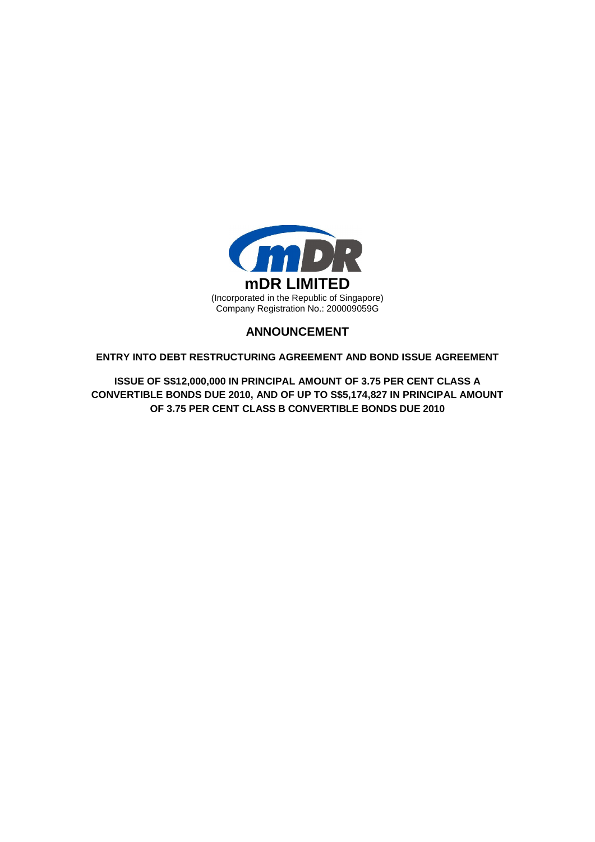

# **ANNOUNCEMENT**

**ENTRY INTO DEBT RESTRUCTURING AGREEMENT AND BOND ISSUE AGREEMENT**

**ISSUE OF S\$12,000,000 IN PRINCIPAL AMOUNT OF 3.75 PER CENT CLASS A CONVERTIBLE BONDS DUE 2010, AND OF UP TO S\$5,174,827 IN PRINCIPAL AMOUNT OF 3.75 PER CENT CLASS B CONVERTIBLE BONDS DUE 2010**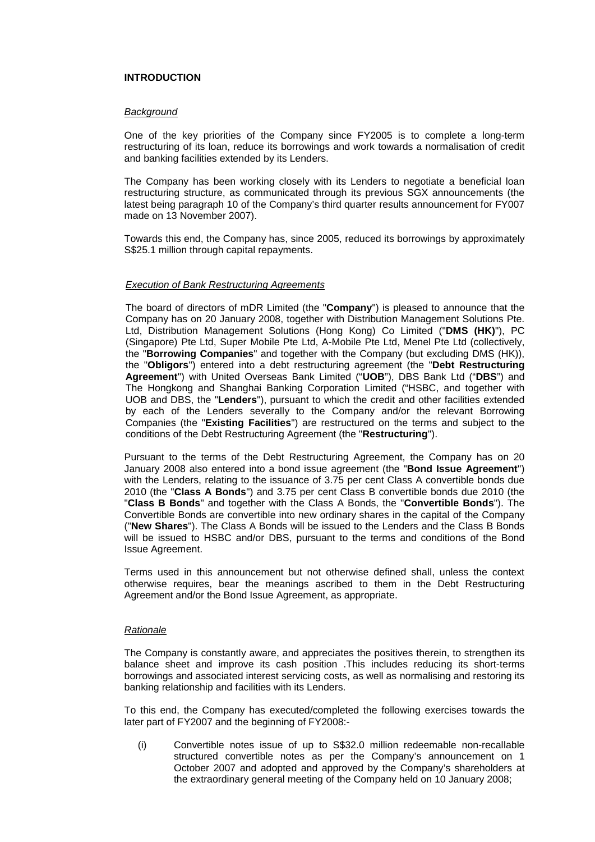# **INTRODUCTION**

### *Background*

One of the key priorities of the Company since FY2005 is to complete a long-term restructuring of its loan, reduce its borrowings and work towards a normalisation of credit and banking facilities extended by its Lenders.

The Company has been working closely with its Lenders to negotiate a beneficial loan restructuring structure, as communicated through its previous SGX announcements (the latest being paragraph 10 of the Company's third quarter results announcement for FY007 made on 13 November 2007).

Towards this end, the Company has, since 2005, reduced its borrowings by approximately S\$25.1 million through capital repayments.

## *Execution of Bank Restructuring Agreements*

The board of directors of mDR Limited (the "**Company**") is pleased to announce that the Company has on 20 January 2008, together with Distribution Management Solutions Pte. Ltd, Distribution Management Solutions (Hong Kong) Co Limited ("**DMS (HK)**"), PC (Singapore) Pte Ltd, Super Mobile Pte Ltd, A-Mobile Pte Ltd, Menel Pte Ltd (collectively, the "**Borrowing Companies**" and together with the Company (but excluding DMS (HK)), the "**Obligors**") entered into a debt restructuring agreement (the "**Debt Restructuring Agreement**") with United Overseas Bank Limited ("**UOB**"), DBS Bank Ltd ("**DBS**") and The Hongkong and Shanghai Banking Corporation Limited ("HSBC, and together with UOB and DBS, the "**Lenders**"), pursuant to which the credit and other facilities extended by each of the Lenders severally to the Company and/or the relevant Borrowing Companies (the "**Existing Facilities**") are restructured on the terms and subject to the conditions of the Debt Restructuring Agreement (the "**Restructuring**").

Pursuant to the terms of the Debt Restructuring Agreement, the Company has on 20 January 2008 also entered into a bond issue agreement (the "**Bond Issue Agreement**") with the Lenders, relating to the issuance of 3.75 per cent Class A convertible bonds due 2010 (the "**Class A Bonds**") and 3.75 per cent Class B convertible bonds due 2010 (the "**Class B Bonds**" and together with the Class A Bonds, the "**Convertible Bonds**"). The Convertible Bonds are convertible into new ordinary shares in the capital of the Company ("**New Shares**"). The Class A Bonds will be issued to the Lenders and the Class B Bonds will be issued to HSBC and/or DBS, pursuant to the terms and conditions of the Bond Issue Agreement.

Terms used in this announcement but not otherwise defined shall, unless the context otherwise requires, bear the meanings ascribed to them in the Debt Restructuring Agreement and/or the Bond Issue Agreement, as appropriate.

# *Rationale*

The Company is constantly aware, and appreciates the positives therein, to strengthen its balance sheet and improve its cash position .This includes reducing its short-terms borrowings and associated interest servicing costs, as well as normalising and restoring its banking relationship and facilities with its Lenders.

To this end, the Company has executed/completed the following exercises towards the later part of FY2007 and the beginning of FY2008:-

(i) Convertible notes issue of up to S\$32.0 million redeemable non-recallable structured convertible notes as per the Company's announcement on 1 October 2007 and adopted and approved by the Company's shareholders at the extraordinary general meeting of the Company held on 10 January 2008;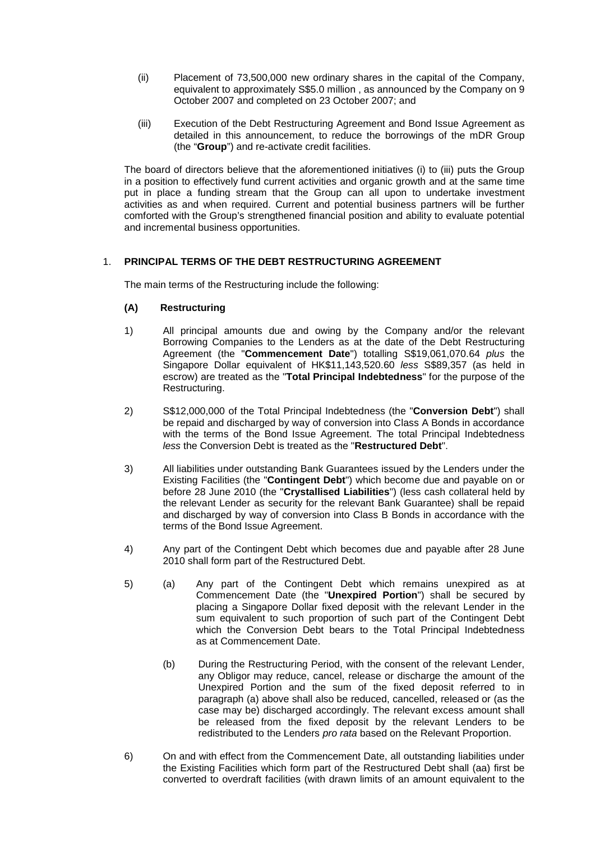- (ii) Placement of 73,500,000 new ordinary shares in the capital of the Company, equivalent to approximately S\$5.0 million , as announced by the Company on 9 October 2007 and completed on 23 October 2007; and
- (iii) Execution of the Debt Restructuring Agreement and Bond Issue Agreement as detailed in this announcement, to reduce the borrowings of the mDR Group (the "**Group**") and re-activate credit facilities.

The board of directors believe that the aforementioned initiatives (i) to (iii) puts the Group in a position to effectively fund current activities and organic growth and at the same time put in place a funding stream that the Group can all upon to undertake investment activities as and when required. Current and potential business partners will be further comforted with the Group's strengthened financial position and ability to evaluate potential and incremental business opportunities.

# 1. **PRINCIPAL TERMS OF THE DEBT RESTRUCTURING AGREEMENT**

The main terms of the Restructuring include the following:

# **(A) Restructuring**

- 1) All principal amounts due and owing by the Company and/or the relevant Borrowing Companies to the Lenders as at the date of the Debt Restructuring Agreement (the "**Commencement Date**") totalling S\$19,061,070.64 *plus* the Singapore Dollar equivalent of HK\$11,143,520.60 *less* S\$89,357 (as held in escrow) are treated as the "**Total Principal Indebtedness**" for the purpose of the Restructuring.
- 2) S\$12,000,000 of the Total Principal Indebtedness (the "**Conversion Debt**") shall be repaid and discharged by way of conversion into Class A Bonds in accordance with the terms of the Bond Issue Agreement. The total Principal Indebtedness *less* the Conversion Debt is treated as the "**Restructured Debt**".
- 3) All liabilities under outstanding Bank Guarantees issued by the Lenders under the Existing Facilities (the "**Contingent Debt**") which become due and payable on or before 28 June 2010 (the "**Crystallised Liabilities**") (less cash collateral held by the relevant Lender as security for the relevant Bank Guarantee) shall be repaid and discharged by way of conversion into Class B Bonds in accordance with the terms of the Bond Issue Agreement.
- 4) Any part of the Contingent Debt which becomes due and payable after 28 June 2010 shall form part of the Restructured Debt.
- 5) (a) Any part of the Contingent Debt which remains unexpired as at Commencement Date (the "**Unexpired Portion**") shall be secured by placing a Singapore Dollar fixed deposit with the relevant Lender in the sum equivalent to such proportion of such part of the Contingent Debt which the Conversion Debt bears to the Total Principal Indebtedness as at Commencement Date.
	- (b) During the Restructuring Period, with the consent of the relevant Lender, any Obligor may reduce, cancel, release or discharge the amount of the Unexpired Portion and the sum of the fixed deposit referred to in paragraph (a) above shall also be reduced, cancelled, released or (as the case may be) discharged accordingly. The relevant excess amount shall be released from the fixed deposit by the relevant Lenders to be redistributed to the Lenders *pro rata* based on the Relevant Proportion.
- 6) On and with effect from the Commencement Date, all outstanding liabilities under the Existing Facilities which form part of the Restructured Debt shall (aa) first be converted to overdraft facilities (with drawn limits of an amount equivalent to the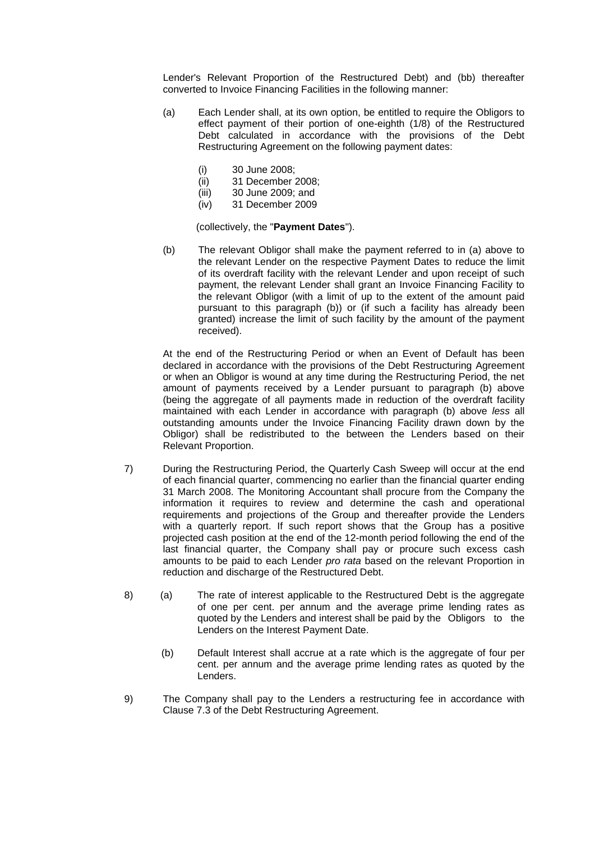Lender's Relevant Proportion of the Restructured Debt) and (bb) thereafter converted to Invoice Financing Facilities in the following manner:

- (a) Each Lender shall, at its own option, be entitled to require the Obligors to effect payment of their portion of one-eighth (1/8) of the Restructured Debt calculated in accordance with the provisions of the Debt Restructuring Agreement on the following payment dates:
	- (i) 30 June 2008;
	- (ii) 31 December 2008;
	- (iii) 30 June 2009; and
	- (iv) 31 December 2009

(collectively, the "**Payment Dates**").

(b) The relevant Obligor shall make the payment referred to in (a) above to the relevant Lender on the respective Payment Dates to reduce the limit of its overdraft facility with the relevant Lender and upon receipt of such payment, the relevant Lender shall grant an Invoice Financing Facility to the relevant Obligor (with a limit of up to the extent of the amount paid pursuant to this paragraph (b)) or (if such a facility has already been granted) increase the limit of such facility by the amount of the payment received).

At the end of the Restructuring Period or when an Event of Default has been declared in accordance with the provisions of the Debt Restructuring Agreement or when an Obligor is wound at any time during the Restructuring Period, the net amount of payments received by a Lender pursuant to paragraph (b) above (being the aggregate of all payments made in reduction of the overdraft facility maintained with each Lender in accordance with paragraph (b) above *less* all outstanding amounts under the Invoice Financing Facility drawn down by the Obligor) shall be redistributed to the between the Lenders based on their Relevant Proportion.

- 7) During the Restructuring Period, the Quarterly Cash Sweep will occur at the end of each financial quarter, commencing no earlier than the financial quarter ending 31 March 2008. The Monitoring Accountant shall procure from the Company the information it requires to review and determine the cash and operational requirements and projections of the Group and thereafter provide the Lenders with a quarterly report. If such report shows that the Group has a positive projected cash position at the end of the 12-month period following the end of the last financial quarter, the Company shall pay or procure such excess cash amounts to be paid to each Lender *pro rata* based on the relevant Proportion in reduction and discharge of the Restructured Debt.
- 8) (a) The rate of interest applicable to the Restructured Debt is the aggregate of one per cent. per annum and the average prime lending rates as quoted by the Lenders and interest shall be paid by the Obligors to the Lenders on the Interest Payment Date.
	- (b) Default Interest shall accrue at a rate which is the aggregate of four per cent. per annum and the average prime lending rates as quoted by the Lenders.
- 9) The Company shall pay to the Lenders a restructuring fee in accordance with Clause 7.3 of the Debt Restructuring Agreement.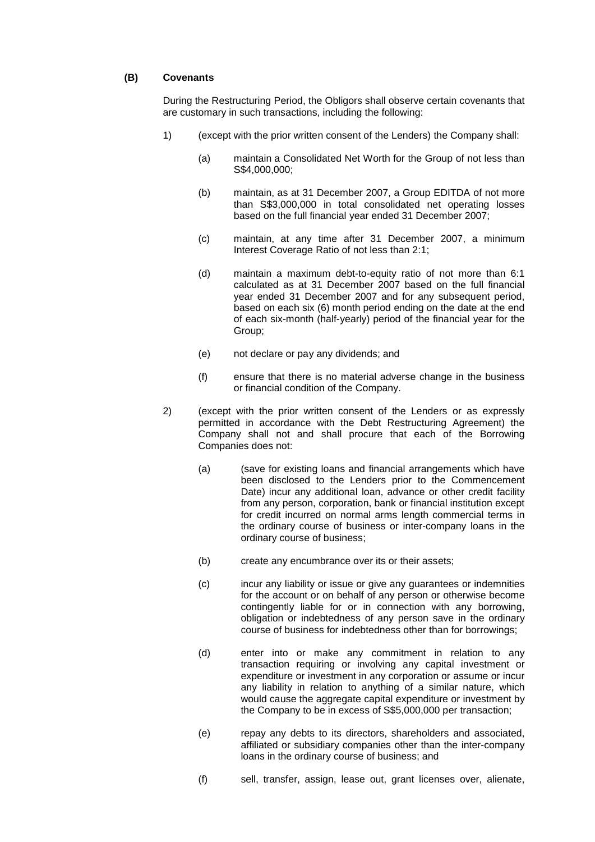### **(B) Covenants**

During the Restructuring Period, the Obligors shall observe certain covenants that are customary in such transactions, including the following:

- 1) (except with the prior written consent of the Lenders) the Company shall:
	- (a) maintain a Consolidated Net Worth for the Group of not less than S\$4,000,000;
	- (b) maintain, as at 31 December 2007, a Group EDITDA of not more than S\$3,000,000 in total consolidated net operating losses based on the full financial year ended 31 December 2007;
	- (c) maintain, at any time after 31 December 2007, a minimum Interest Coverage Ratio of not less than 2:1;
	- (d) maintain a maximum debt-to-equity ratio of not more than 6:1 calculated as at 31 December 2007 based on the full financial year ended 31 December 2007 and for any subsequent period, based on each six (6) month period ending on the date at the end of each six-month (half-yearly) period of the financial year for the Group;
	- (e) not declare or pay any dividends; and
	- (f) ensure that there is no material adverse change in the business or financial condition of the Company.
- 2) (except with the prior written consent of the Lenders or as expressly permitted in accordance with the Debt Restructuring Agreement) the Company shall not and shall procure that each of the Borrowing Companies does not:
	- (a) (save for existing loans and financial arrangements which have been disclosed to the Lenders prior to the Commencement Date) incur any additional loan, advance or other credit facility from any person, corporation, bank or financial institution except for credit incurred on normal arms length commercial terms in the ordinary course of business or inter-company loans in the ordinary course of business;
	- (b) create any encumbrance over its or their assets;
	- (c) incur any liability or issue or give any guarantees or indemnities for the account or on behalf of any person or otherwise become contingently liable for or in connection with any borrowing, obligation or indebtedness of any person save in the ordinary course of business for indebtedness other than for borrowings;
	- (d) enter into or make any commitment in relation to any transaction requiring or involving any capital investment or expenditure or investment in any corporation or assume or incur any liability in relation to anything of a similar nature, which would cause the aggregate capital expenditure or investment by the Company to be in excess of S\$5,000,000 per transaction;
	- (e) repay any debts to its directors, shareholders and associated, affiliated or subsidiary companies other than the inter-company loans in the ordinary course of business; and
	- (f) sell, transfer, assign, lease out, grant licenses over, alienate,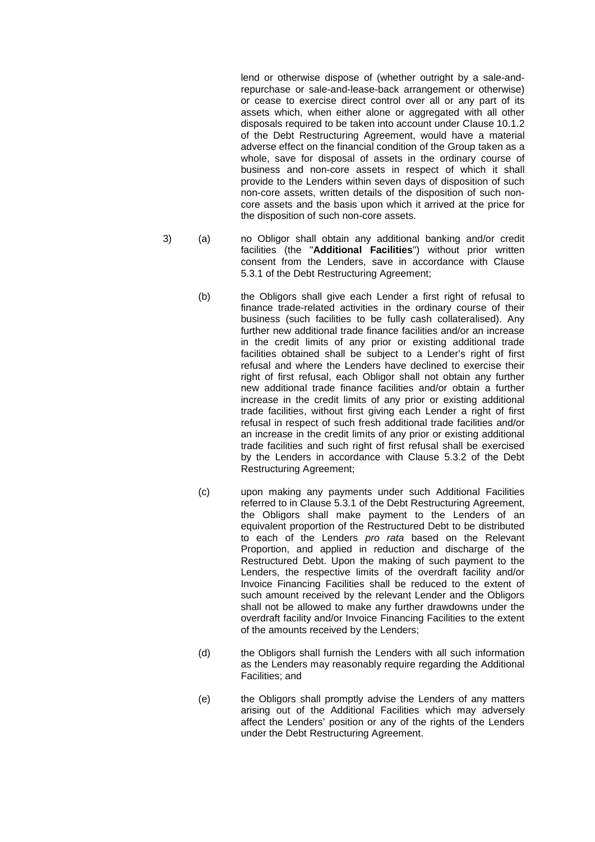lend or otherwise dispose of (whether outright by a sale-andrepurchase or sale-and-lease-back arrangement or otherwise) or cease to exercise direct control over all or any part of its assets which, when either alone or aggregated with all other disposals required to be taken into account under Clause 10.1.2 of the Debt Restructuring Agreement, would have a material adverse effect on the financial condition of the Group taken as a whole, save for disposal of assets in the ordinary course of business and non-core assets in respect of which it shall provide to the Lenders within seven days of disposition of such non-core assets, written details of the disposition of such noncore assets and the basis upon which it arrived at the price for the disposition of such non-core assets.

- 3) (a) no Obligor shall obtain any additional banking and/or credit facilities (the "**Additional Facilities**") without prior written consent from the Lenders, save in accordance with Clause 5.3.1 of the Debt Restructuring Agreement;
	- (b) the Obligors shall give each Lender a first right of refusal to finance trade-related activities in the ordinary course of their business (such facilities to be fully cash collateralised). Any further new additional trade finance facilities and/or an increase in the credit limits of any prior or existing additional trade facilities obtained shall be subject to a Lender's right of first refusal and where the Lenders have declined to exercise their right of first refusal, each Obligor shall not obtain any further new additional trade finance facilities and/or obtain a further increase in the credit limits of any prior or existing additional trade facilities, without first giving each Lender a right of first refusal in respect of such fresh additional trade facilities and/or an increase in the credit limits of any prior or existing additional trade facilities and such right of first refusal shall be exercised by the Lenders in accordance with Clause 5.3.2 of the Debt Restructuring Agreement;
	- (c) upon making any payments under such Additional Facilities referred to in Clause 5.3.1 of the Debt Restructuring Agreement, the Obligors shall make payment to the Lenders of an equivalent proportion of the Restructured Debt to be distributed to each of the Lenders *pro rata* based on the Relevant Proportion, and applied in reduction and discharge of the Restructured Debt. Upon the making of such payment to the Lenders, the respective limits of the overdraft facility and/or Invoice Financing Facilities shall be reduced to the extent of such amount received by the relevant Lender and the Obligors shall not be allowed to make any further drawdowns under the overdraft facility and/or Invoice Financing Facilities to the extent of the amounts received by the Lenders;
	- (d) the Obligors shall furnish the Lenders with all such information as the Lenders may reasonably require regarding the Additional Facilities; and
	- (e) the Obligors shall promptly advise the Lenders of any matters arising out of the Additional Facilities which may adversely affect the Lenders' position or any of the rights of the Lenders under the Debt Restructuring Agreement.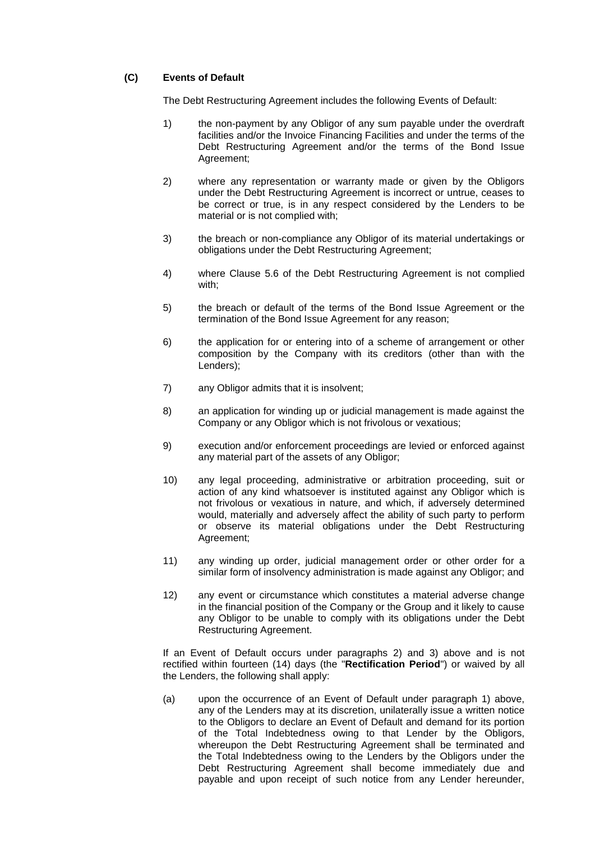# **(C) Events of Default**

The Debt Restructuring Agreement includes the following Events of Default:

- 1) the non-payment by any Obligor of any sum payable under the overdraft facilities and/or the Invoice Financing Facilities and under the terms of the Debt Restructuring Agreement and/or the terms of the Bond Issue Agreement;
- 2) where any representation or warranty made or given by the Obligors under the Debt Restructuring Agreement is incorrect or untrue, ceases to be correct or true, is in any respect considered by the Lenders to be material or is not complied with;
- 3) the breach or non-compliance any Obligor of its material undertakings or obligations under the Debt Restructuring Agreement;
- 4) where Clause 5.6 of the Debt Restructuring Agreement is not complied with;
- 5) the breach or default of the terms of the Bond Issue Agreement or the termination of the Bond Issue Agreement for any reason;
- 6) the application for or entering into of a scheme of arrangement or other composition by the Company with its creditors (other than with the Lenders);
- 7) any Obligor admits that it is insolvent;
- 8) an application for winding up or judicial management is made against the Company or any Obligor which is not frivolous or vexatious;
- 9) execution and/or enforcement proceedings are levied or enforced against any material part of the assets of any Obligor;
- 10) any legal proceeding, administrative or arbitration proceeding, suit or action of any kind whatsoever is instituted against any Obligor which is not frivolous or vexatious in nature, and which, if adversely determined would, materially and adversely affect the ability of such party to perform or observe its material obligations under the Debt Restructuring Agreement;
- 11) any winding up order, judicial management order or other order for a similar form of insolvency administration is made against any Obligor; and
- 12) any event or circumstance which constitutes a material adverse change in the financial position of the Company or the Group and it likely to cause any Obligor to be unable to comply with its obligations under the Debt Restructuring Agreement.

If an Event of Default occurs under paragraphs 2) and 3) above and is not rectified within fourteen (14) days (the "**Rectification Period**") or waived by all the Lenders, the following shall apply:

(a) upon the occurrence of an Event of Default under paragraph 1) above, any of the Lenders may at its discretion, unilaterally issue a written notice to the Obligors to declare an Event of Default and demand for its portion of the Total Indebtedness owing to that Lender by the Obligors, whereupon the Debt Restructuring Agreement shall be terminated and the Total Indebtedness owing to the Lenders by the Obligors under the Debt Restructuring Agreement shall become immediately due and payable and upon receipt of such notice from any Lender hereunder,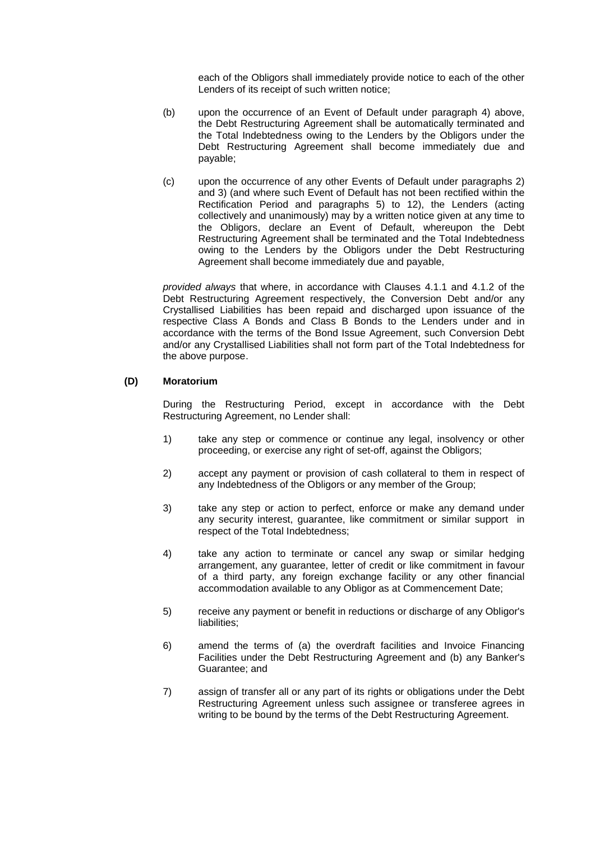each of the Obligors shall immediately provide notice to each of the other Lenders of its receipt of such written notice;

- (b) upon the occurrence of an Event of Default under paragraph 4) above, the Debt Restructuring Agreement shall be automatically terminated and the Total Indebtedness owing to the Lenders by the Obligors under the Debt Restructuring Agreement shall become immediately due and payable;
- (c) upon the occurrence of any other Events of Default under paragraphs 2) and 3) (and where such Event of Default has not been rectified within the Rectification Period and paragraphs 5) to 12), the Lenders (acting collectively and unanimously) may by a written notice given at any time to the Obligors, declare an Event of Default, whereupon the Debt Restructuring Agreement shall be terminated and the Total Indebtedness owing to the Lenders by the Obligors under the Debt Restructuring Agreement shall become immediately due and payable,

*provided always* that where, in accordance with Clauses 4.1.1 and 4.1.2 of the Debt Restructuring Agreement respectively, the Conversion Debt and/or any Crystallised Liabilities has been repaid and discharged upon issuance of the respective Class A Bonds and Class B Bonds to the Lenders under and in accordance with the terms of the Bond Issue Agreement, such Conversion Debt and/or any Crystallised Liabilities shall not form part of the Total Indebtedness for the above purpose.

## **(D) Moratorium**

During the Restructuring Period, except in accordance with the Debt Restructuring Agreement, no Lender shall:

- 1) take any step or commence or continue any legal, insolvency or other proceeding, or exercise any right of set-off, against the Obligors;
- 2) accept any payment or provision of cash collateral to them in respect of any Indebtedness of the Obligors or any member of the Group;
- 3) take any step or action to perfect, enforce or make any demand under any security interest, guarantee, like commitment or similar support in respect of the Total Indebtedness;
- 4) take any action to terminate or cancel any swap or similar hedging arrangement, any guarantee, letter of credit or like commitment in favour of a third party, any foreign exchange facility or any other financial accommodation available to any Obligor as at Commencement Date;
- 5) receive any payment or benefit in reductions or discharge of any Obligor's liabilities:
- 6) amend the terms of (a) the overdraft facilities and Invoice Financing Facilities under the Debt Restructuring Agreement and (b) any Banker's Guarantee; and
- 7) assign of transfer all or any part of its rights or obligations under the Debt Restructuring Agreement unless such assignee or transferee agrees in writing to be bound by the terms of the Debt Restructuring Agreement.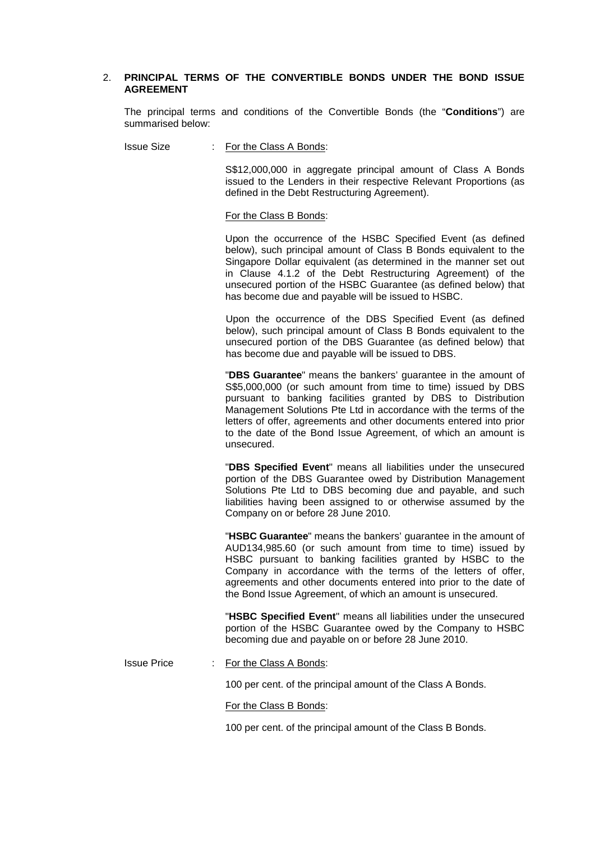## 2. **PRINCIPAL TERMS OF THE CONVERTIBLE BONDS UNDER THE BOND ISSUE AGREEMENT**

The principal terms and conditions of the Convertible Bonds (the "**Conditions**") are summarised below:

Issue Size : For the Class A Bonds:

S\$12,000,000 in aggregate principal amount of Class A Bonds issued to the Lenders in their respective Relevant Proportions (as defined in the Debt Restructuring Agreement).

#### For the Class B Bonds:

Upon the occurrence of the HSBC Specified Event (as defined below), such principal amount of Class B Bonds equivalent to the Singapore Dollar equivalent (as determined in the manner set out in Clause 4.1.2 of the Debt Restructuring Agreement) of the unsecured portion of the HSBC Guarantee (as defined below) that has become due and payable will be issued to HSBC.

Upon the occurrence of the DBS Specified Event (as defined below), such principal amount of Class B Bonds equivalent to the unsecured portion of the DBS Guarantee (as defined below) that has become due and payable will be issued to DBS.

"**DBS Guarantee**" means the bankers' guarantee in the amount of S\$5,000,000 (or such amount from time to time) issued by DBS pursuant to banking facilities granted by DBS to Distribution Management Solutions Pte Ltd in accordance with the terms of the letters of offer, agreements and other documents entered into prior to the date of the Bond Issue Agreement, of which an amount is unsecured.

"**DBS Specified Event**" means all liabilities under the unsecured portion of the DBS Guarantee owed by Distribution Management Solutions Pte Ltd to DBS becoming due and payable, and such liabilities having been assigned to or otherwise assumed by the Company on or before 28 June 2010.

"**HSBC Guarantee**" means the bankers' guarantee in the amount of AUD134,985.60 (or such amount from time to time) issued by HSBC pursuant to banking facilities granted by HSBC to the Company in accordance with the terms of the letters of offer, agreements and other documents entered into prior to the date of the Bond Issue Agreement, of which an amount is unsecured.

"**HSBC Specified Event**" means all liabilities under the unsecured portion of the HSBC Guarantee owed by the Company to HSBC becoming due and payable on or before 28 June 2010.

### Issue Price : For the Class A Bonds:

100 per cent. of the principal amount of the Class A Bonds.

#### For the Class B Bonds:

100 per cent. of the principal amount of the Class B Bonds.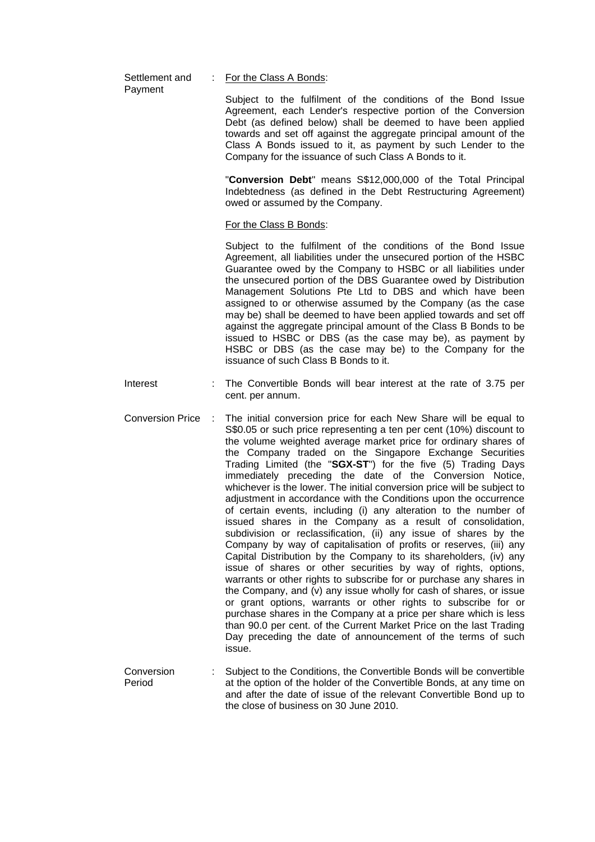| Settlement and | For the Class A Bonds:                                                                                                                                                                                                                                                                                                                                                                                                                                                                                                                                                                                                                                                                                        |  |  |
|----------------|---------------------------------------------------------------------------------------------------------------------------------------------------------------------------------------------------------------------------------------------------------------------------------------------------------------------------------------------------------------------------------------------------------------------------------------------------------------------------------------------------------------------------------------------------------------------------------------------------------------------------------------------------------------------------------------------------------------|--|--|
| Payment        | Subject to the fulfilment of the conditions of the Bond Issue<br>Agreement, each Lender's respective portion of the Conversion<br>Debt (as defined below) shall be deemed to have been applied<br>towards and set off against the aggregate principal amount of the<br>Class A Bonds issued to it, as payment by such Lender to the<br>Company for the issuance of such Class A Bonds to it.                                                                                                                                                                                                                                                                                                                  |  |  |
|                | "Conversion Debt" means S\$12,000,000 of the Total Principal<br>Indebtedness (as defined in the Debt Restructuring Agreement)<br>owed or assumed by the Company.                                                                                                                                                                                                                                                                                                                                                                                                                                                                                                                                              |  |  |
|                | For the Class B Bonds:                                                                                                                                                                                                                                                                                                                                                                                                                                                                                                                                                                                                                                                                                        |  |  |
|                | Subject to the fulfilment of the conditions of the Bond Issue<br>Agreement, all liabilities under the unsecured portion of the HSBC<br>Guarantee owed by the Company to HSBC or all liabilities under<br>the unsecured portion of the DBS Guarantee owed by Distribution<br>Management Solutions Pte Ltd to DBS and which have been<br>assigned to or otherwise assumed by the Company (as the case<br>may be) shall be deemed to have been applied towards and set off<br>against the aggregate principal amount of the Class B Bonds to be<br>issued to HSBC or DBS (as the case may be), as payment by<br>HSBC or DBS (as the case may be) to the Company for the<br>issuance of such Class B Bonds to it. |  |  |

- Interest : The Convertible Bonds will bear interest at the rate of 3.75 per cent. per annum.
- Conversion Price : The initial conversion price for each New Share will be equal to S\$0.05 or such price representing a ten per cent (10%) discount to the volume weighted average market price for ordinary shares of the Company traded on the Singapore Exchange Securities Trading Limited (the "**SGX-ST**") for the five (5) Trading Days immediately preceding the date of the Conversion Notice, whichever is the lower. The initial conversion price will be subject to adjustment in accordance with the Conditions upon the occurrence of certain events, including (i) any alteration to the number of issued shares in the Company as a result of consolidation, subdivision or reclassification, (ii) any issue of shares by the Company by way of capitalisation of profits or reserves, (iii) any Capital Distribution by the Company to its shareholders, (iv) any issue of shares or other securities by way of rights, options, warrants or other rights to subscribe for or purchase any shares in the Company, and (v) any issue wholly for cash of shares, or issue or grant options, warrants or other rights to subscribe for or purchase shares in the Company at a price per share which is less than 90.0 per cent. of the Current Market Price on the last Trading Day preceding the date of announcement of the terms of such issue.
- **Conversion** Period : Subject to the Conditions, the Convertible Bonds will be convertible at the option of the holder of the Convertible Bonds, at any time on and after the date of issue of the relevant Convertible Bond up to the close of business on 30 June 2010.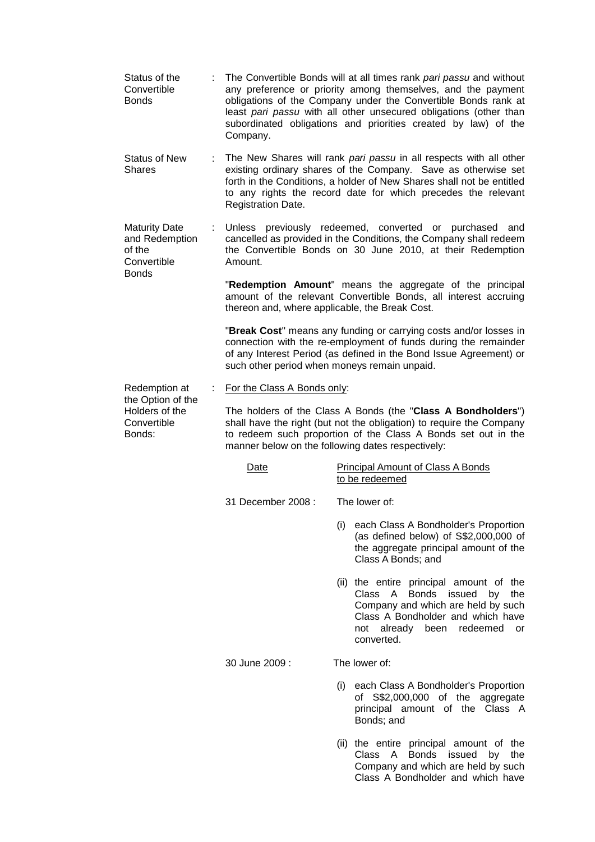- Status of the Convertible Bonds : The Convertible Bonds will at all times rank *pari passu* and without any preference or priority among themselves, and the payment obligations of the Company under the Convertible Bonds rank at least *pari passu* with all other unsecured obligations (other than subordinated obligations and priorities created by law) of the Company.
- Status of New Shares : The New Shares will rank *pari passu* in all respects with all other existing ordinary shares of the Company. Save as otherwise set forth in the Conditions, a holder of New Shares shall not be entitled to any rights the record date for which precedes the relevant Registration Date.
- Maturity Date and Redemption of the **Convertible Bonds** : Unless previously redeemed, converted or purchased and cancelled as provided in the Conditions, the Company shall redeem the Convertible Bonds on 30 June 2010, at their Redemption Amount.

"**Redemption Amount**" means the aggregate of the principal amount of the relevant Convertible Bonds, all interest accruing thereon and, where applicable, the Break Cost.

"**Break Cost**" means any funding or carrying costs and/or losses in connection with the re-employment of funds during the remainder of any Interest Period (as defined in the Bond Issue Agreement) or such other period when moneys remain unpaid.

Redemption at the Option of the : For the Class A Bonds only:

**Convertible** Bonds:

Holders of the The holders of the Class A Bonds (the "**Class A Bondholders**") shall have the right (but not the obligation) to require the Company to redeem such proportion of the Class A Bonds set out in the manner below on the following dates respectively:

| Date               | <b>Principal Amount of Class A Bonds</b><br>to be redeemed                                                                                                                                               |  |  |
|--------------------|----------------------------------------------------------------------------------------------------------------------------------------------------------------------------------------------------------|--|--|
| 31 December 2008 : | The lower of:                                                                                                                                                                                            |  |  |
|                    | (i)<br>each Class A Bondholder's Proportion<br>(as defined below) of S\$2,000,000 of<br>the aggregate principal amount of the<br>Class A Bonds; and                                                      |  |  |
|                    | (ii) the entire principal amount of the<br>Class A Bonds issued<br>by<br>the<br>Company and which are held by such<br>Class A Bondholder and which have<br>not already been redeemed<br>or<br>converted. |  |  |
| 30 June 2009 :     | The lower of:                                                                                                                                                                                            |  |  |
|                    | (i)<br>each Class A Bondholder's Proportion<br>of S\$2,000,000 of the aggregate<br>principal amount of the Class A<br>Bonds; and                                                                         |  |  |
|                    | (ii) the entire principal amount of the<br>Class A<br>Bonds issued<br>by<br>the<br>Company and which are held by such<br>Class A Bondholder and which have                                               |  |  |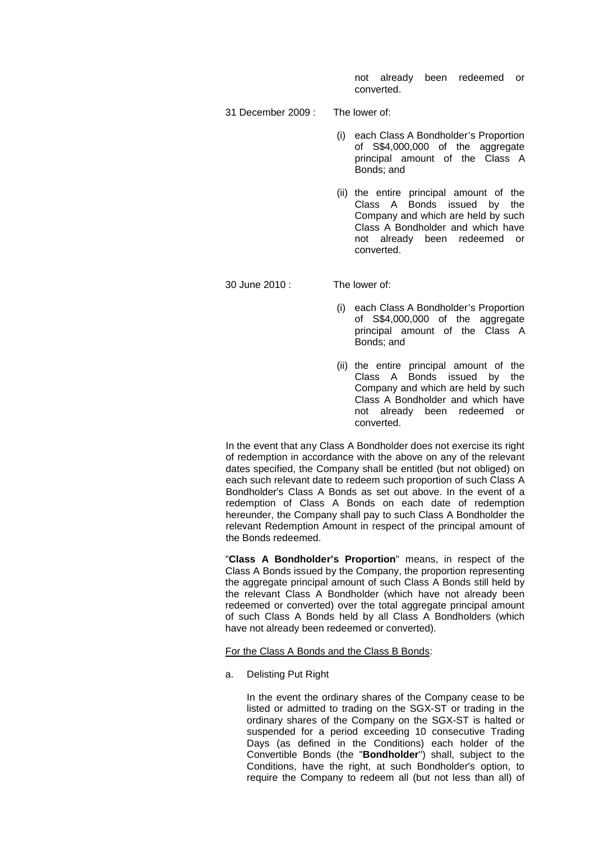not already been redeemed or converted.

- 31 December 2009 : The lower of:
	- (i) each Class A Bondholder's Proportion of S\$4,000,000 of the aggregate principal amount of the Class A Bonds; and
	- (ii) the entire principal amount of the Class A Bonds issued by the Company and which are held by such Class A Bondholder and which have not already been redeemed or converted.

30 June 2010 : The lower of:

- (i) each Class A Bondholder's Proportion of S\$4,000,000 of the aggregate principal amount of the Class A Bonds; and
- (ii) the entire principal amount of the Class A Bonds issued by the Company and which are held by such Class A Bondholder and which have not already been redeemed or converted.

In the event that any Class A Bondholder does not exercise its right of redemption in accordance with the above on any of the relevant dates specified, the Company shall be entitled (but not obliged) on each such relevant date to redeem such proportion of such Class A Bondholder's Class A Bonds as set out above. In the event of a redemption of Class A Bonds on each date of redemption hereunder, the Company shall pay to such Class A Bondholder the relevant Redemption Amount in respect of the principal amount of the Bonds redeemed.

"**Class A Bondholder's Proportion**" means, in respect of the Class A Bonds issued by the Company, the proportion representing the aggregate principal amount of such Class A Bonds still held by the relevant Class A Bondholder (which have not already been redeemed or converted) over the total aggregate principal amount of such Class A Bonds held by all Class A Bondholders (which have not already been redeemed or converted).

### For the Class A Bonds and the Class B Bonds:

a. Delisting Put Right

In the event the ordinary shares of the Company cease to be listed or admitted to trading on the SGX-ST or trading in the ordinary shares of the Company on the SGX-ST is halted or suspended for a period exceeding 10 consecutive Trading Days (as defined in the Conditions) each holder of the Convertible Bonds (the "**Bondholder**") shall, subject to the Conditions, have the right, at such Bondholder's option, to require the Company to redeem all (but not less than all) of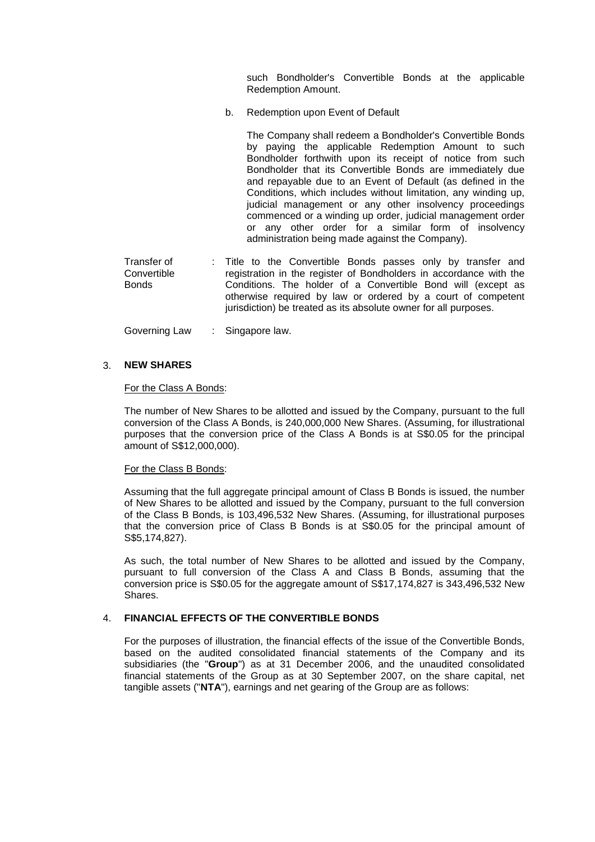such Bondholder's Convertible Bonds at the applicable Redemption Amount.

b. Redemption upon Event of Default

The Company shall redeem a Bondholder's Convertible Bonds by paying the applicable Redemption Amount to such Bondholder forthwith upon its receipt of notice from such Bondholder that its Convertible Bonds are immediately due and repayable due to an Event of Default (as defined in the Conditions, which includes without limitation, any winding up, judicial management or any other insolvency proceedings commenced or a winding up order, judicial management order or any other order for a similar form of insolvency administration being made against the Company).

Transfer of **Convertible Bonds** : Title to the Convertible Bonds passes only by transfer and registration in the register of Bondholders in accordance with the Conditions. The holder of a Convertible Bond will (except as otherwise required by law or ordered by a court of competent jurisdiction) be treated as its absolute owner for all purposes.

Governing Law : Singapore law.

## 3. **NEW SHARES**

### For the Class A Bonds:

The number of New Shares to be allotted and issued by the Company, pursuant to the full conversion of the Class A Bonds, is 240,000,000 New Shares. (Assuming, for illustrational purposes that the conversion price of the Class A Bonds is at S\$0.05 for the principal amount of S\$12,000,000).

### For the Class B Bonds:

Assuming that the full aggregate principal amount of Class B Bonds is issued, the number of New Shares to be allotted and issued by the Company, pursuant to the full conversion of the Class B Bonds, is 103,496,532 New Shares. (Assuming, for illustrational purposes that the conversion price of Class B Bonds is at S\$0.05 for the principal amount of S\$5,174,827).

As such, the total number of New Shares to be allotted and issued by the Company, pursuant to full conversion of the Class A and Class B Bonds, assuming that the conversion price is S\$0.05 for the aggregate amount of S\$17,174,827 is 343,496,532 New Shares.

## 4. **FINANCIAL EFFECTS OF THE CONVERTIBLE BONDS**

For the purposes of illustration, the financial effects of the issue of the Convertible Bonds, based on the audited consolidated financial statements of the Company and its subsidiaries (the "**Group**") as at 31 December 2006, and the unaudited consolidated financial statements of the Group as at 30 September 2007, on the share capital, net tangible assets ("**NTA**"), earnings and net gearing of the Group are as follows: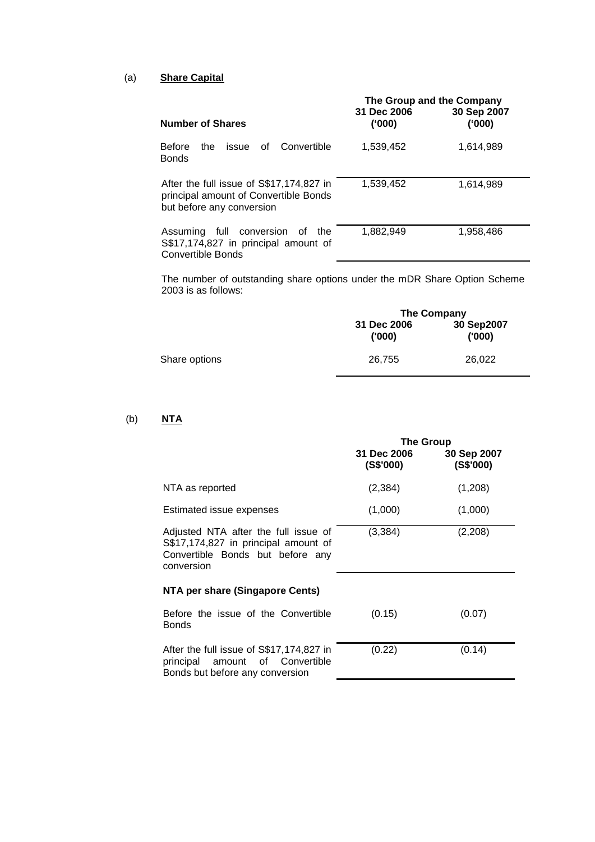# (a) **Share Capital**

|                                                                                                                | The Group and the Company |                       |
|----------------------------------------------------------------------------------------------------------------|---------------------------|-----------------------|
| <b>Number of Shares</b>                                                                                        | 31 Dec 2006<br>('000)     | 30 Sep 2007<br>('000) |
| <b>Before</b><br>of Convertible<br>the<br>issue<br><b>Bonds</b>                                                | 1,539,452                 | 1,614,989             |
| After the full issue of S\$17,174,827 in<br>principal amount of Convertible Bonds<br>but before any conversion | 1,539,452                 | 1,614,989             |
| full f<br>conversion<br>Assuming<br>of<br>the<br>S\$17,174,827 in principal amount of<br>Convertible Bonds     | 1.882.949                 | 1,958,486             |

The number of outstanding share options under the mDR Share Option Scheme 2003 is as follows:

|               | The Company          |                      |
|---------------|----------------------|----------------------|
|               | 31 Dec 2006<br>(000) | 30 Sep2007<br>('000) |
| Share options | 26,755               | 26,022               |

# (b) **NTA**

|                                                                                                                                | <b>The Group</b>         |                          |
|--------------------------------------------------------------------------------------------------------------------------------|--------------------------|--------------------------|
|                                                                                                                                | 31 Dec 2006<br>(S\$'000) | 30 Sep 2007<br>(S\$'000) |
| NTA as reported                                                                                                                | (2, 384)                 | (1,208)                  |
| Estimated issue expenses                                                                                                       | (1,000)                  | (1,000)                  |
| Adjusted NTA after the full issue of<br>S\$17,174,827 in principal amount of<br>Convertible Bonds but before any<br>conversion | (3, 384)                 | (2,208)                  |
| NTA per share (Singapore Cents)                                                                                                |                          |                          |
| Before the issue of the Convertible<br>Bonds                                                                                   | (0.15)                   | (0.07)                   |
| After the full issue of S\$17,174,827 in<br>principal<br>0f<br>Convertible<br>amount<br>Bonds but before any conversion        | (0.22)                   | (0.14)                   |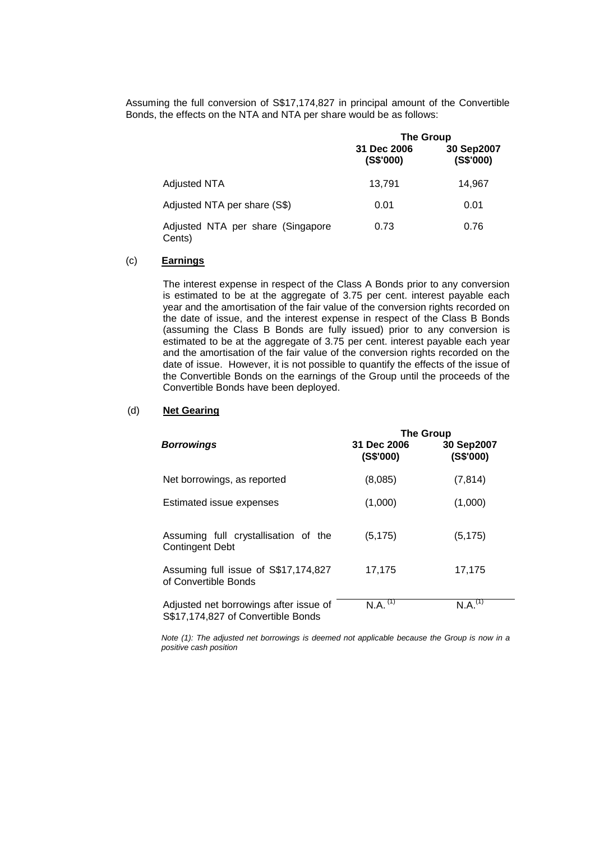Assuming the full conversion of S\$17,174,827 in principal amount of the Convertible Bonds, the effects on the NTA and NTA per share would be as follows:

|                                             | <b>The Group</b>         |                         |
|---------------------------------------------|--------------------------|-------------------------|
|                                             | 31 Dec 2006<br>(S\$'000) | 30 Sep2007<br>(S\$'000) |
| <b>Adjusted NTA</b>                         | 13.791                   | 14.967                  |
| Adjusted NTA per share (S\$)                | 0.01                     | 0.01                    |
| Adjusted NTA per share (Singapore<br>Cents) | 0.73                     | 0.76                    |

## (c) **Earnings**

The interest expense in respect of the Class A Bonds prior to any conversion is estimated to be at the aggregate of 3.75 per cent. interest payable each year and the amortisation of the fair value of the conversion rights recorded on the date of issue, and the interest expense in respect of the Class B Bonds (assuming the Class B Bonds are fully issued) prior to any conversion is estimated to be at the aggregate of 3.75 per cent. interest payable each year and the amortisation of the fair value of the conversion rights recorded on the date of issue. However, it is not possible to quantify the effects of the issue of the Convertible Bonds on the earnings of the Group until the proceeds of the Convertible Bonds have been deployed.

# (d) **Net Gearing**

|                                                                              | <b>The Group</b>                   |                            |
|------------------------------------------------------------------------------|------------------------------------|----------------------------|
| <b>Borrowings</b>                                                            | 31 Dec 2006<br>(S\$'000)           | 30 Sep2007<br>$($ S\$'000) |
| Net borrowings, as reported                                                  | (8,085)                            | (7, 814)                   |
| Estimated issue expenses                                                     | (1,000)                            | (1,000)                    |
| Assuming full crystallisation of the<br><b>Contingent Debt</b>               | (5, 175)                           | (5, 175)                   |
| Assuming full issue of S\$17,174,827<br>of Convertible Bonds                 | 17,175                             | 17,175                     |
| Adjusted net borrowings after issue of<br>S\$17,174,827 of Convertible Bonds | $N.A.$ <sup><math>(1)</math></sup> | N.A. <sup>(1)</sup>        |

*Note (1): The adjusted net borrowings is deemed not applicable because the Group is now in a positive cash position*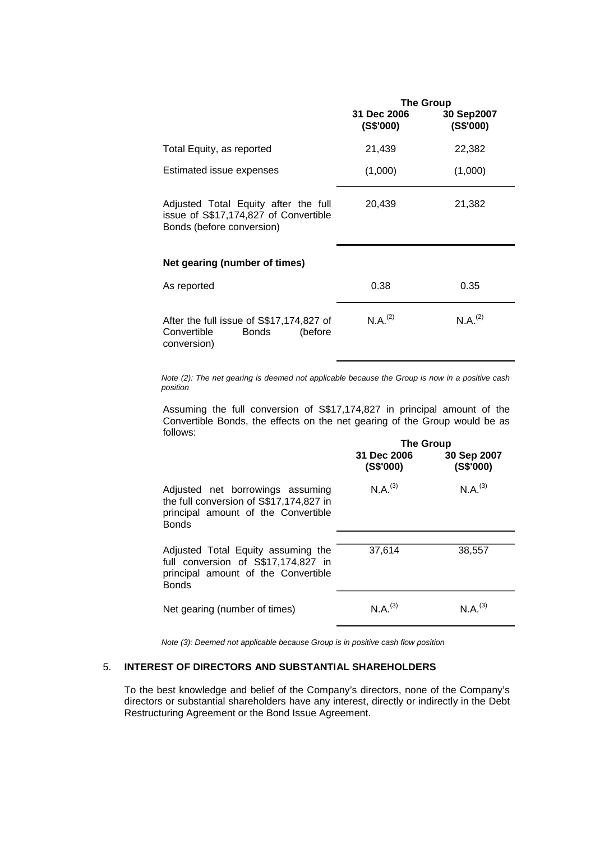|                                                                                                            | <b>The Group</b>         |                         |
|------------------------------------------------------------------------------------------------------------|--------------------------|-------------------------|
|                                                                                                            | 31 Dec 2006<br>(S\$'000) | 30 Sep2007<br>(S\$'000) |
| Total Equity, as reported                                                                                  | 21,439                   | 22,382                  |
| Estimated issue expenses                                                                                   | (1,000)                  | (1,000)                 |
| Adjusted Total Equity after the full<br>issue of S\$17,174,827 of Convertible<br>Bonds (before conversion) | 20,439                   | 21,382                  |
| Net gearing (number of times)                                                                              |                          |                         |
| As reported                                                                                                | 0.38                     | 0.35                    |
| After the full issue of S\$17,174,827 of<br>Convertible<br><b>Bonds</b><br>(before<br>conversion)          | N.A. <sup>(2)</sup>      | N.A. <sup>(2)</sup>     |

*Note (2): The net gearing is deemed not applicable because the Group is now in a positive cash position*

Assuming the full conversion of S\$17,174,827 in principal amount of the Convertible Bonds, the effects on the net gearing of the Group would be as follows:

|                                                                                                                                    | <b>The Group</b>         |                             |
|------------------------------------------------------------------------------------------------------------------------------------|--------------------------|-----------------------------|
|                                                                                                                                    | 31 Dec 2006<br>(S\$'000) | 30 Sep 2007<br>$($ S\$'000) |
| Adjusted net borrowings assuming<br>the full conversion of S\$17,174,827 in<br>principal amount of the Convertible<br><b>Bonds</b> | $N.A.^{(3)}$             | N.A. <sup>(3)</sup>         |
| Adjusted Total Equity assuming the<br>full conversion of S\$17,174,827 in<br>principal amount of the Convertible<br><b>Bonds</b>   | 37,614                   | 38,557                      |
| Net gearing (number of times)                                                                                                      | $N.A^{(3)}$              | $N.A^{(3)}$                 |

*Note (3): Deemed not applicable because Group is in positive cash flow position*

# 5. **INTEREST OF DIRECTORS AND SUBSTANTIAL SHAREHOLDERS**

To the best knowledge and belief of the Company's directors, none of the Company's directors or substantial shareholders have any interest, directly or indirectly in the Debt Restructuring Agreement or the Bond Issue Agreement.